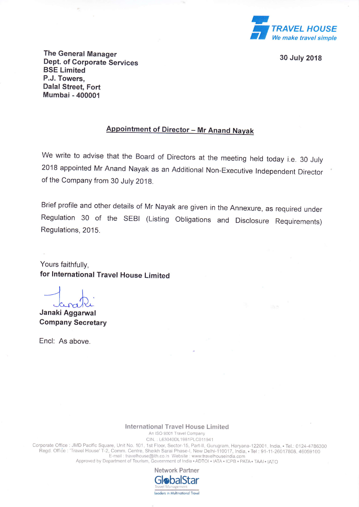

30 July 2018

The General Manager Dept. of Corporate Services BSE Limited P.J. Towers, Dalal Street, Fort Mumbai - 40000'l

## **Appointment of Director - Mr Anand Nayak**

We write to advise that the Board of Directors at the meeting held today i.e. 30 July <sup>2018</sup>appointed Mr Anand Nayak as an Additional Non-Executive lndependent Director of the Company from 30 July 201g.

Brief profile and other details of Mr Nayak are given in the Annexure, as required under Regulation 30 of the SEBI (Listing obligations and Disclosure Requirements) Regulations, 2015.

Yours faithfully, for lnternational Travel House Limited

Janaki Aggarwal Company Secretary

Encl: As above.

## lnternational Travel House Limited

An ISO 9001 Travel Company CIN.: L63040DL1981PLC011941

Corporate Office : JMD Pacific Square, Unit No. 101, 1st Floor, Sector-15, Part-II, Gurugram, Haryana-122001, India, • Tel.: 0124-478630 Regd. Office : 'Travel House' T-2, Comm. Centre, Sheikh Sarai Phase-I, New Delhi-110017, India, • Tel : 91-11-26017808, 4605910<br>E-mail : travelhouse@ith.co.in\_Website : www.travelhouseindia.com<br>Approved by Department of To